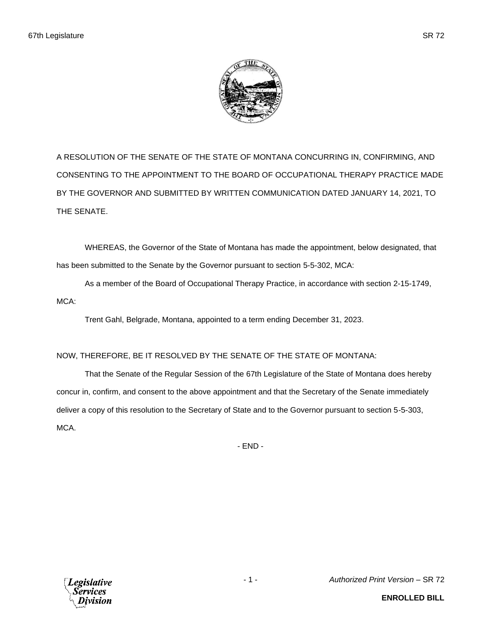

A RESOLUTION OF THE SENATE OF THE STATE OF MONTANA CONCURRING IN, CONFIRMING, AND CONSENTING TO THE APPOINTMENT TO THE BOARD OF OCCUPATIONAL THERAPY PRACTICE MADE BY THE GOVERNOR AND SUBMITTED BY WRITTEN COMMUNICATION DATED JANUARY 14, 2021, TO THE SENATE.

WHEREAS, the Governor of the State of Montana has made the appointment, below designated, that has been submitted to the Senate by the Governor pursuant to section 5-5-302, MCA:

As a member of the Board of Occupational Therapy Practice, in accordance with section 2-15-1749, MCA:

Trent Gahl, Belgrade, Montana, appointed to a term ending December 31, 2023.

## NOW, THEREFORE, BE IT RESOLVED BY THE SENATE OF THE STATE OF MONTANA:

That the Senate of the Regular Session of the 67th Legislature of the State of Montana does hereby concur in, confirm, and consent to the above appointment and that the Secretary of the Senate immediately deliver a copy of this resolution to the Secretary of State and to the Governor pursuant to section 5-5-303, MCA.

- END -



- 1 - *Authorized Print Version* – SR 72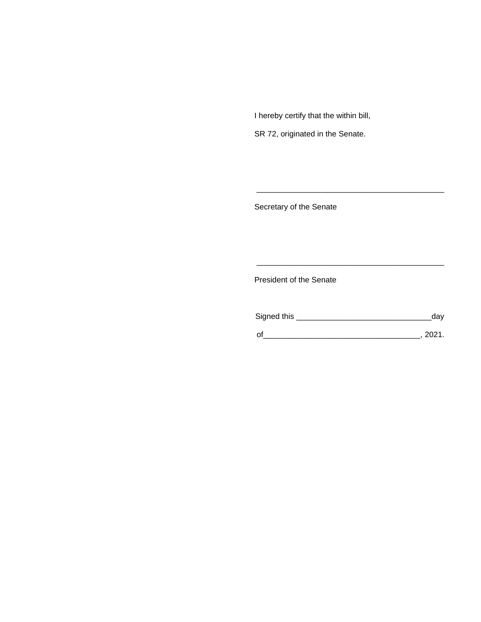I hereby certify that the within bill,

SR 72, originated in the Senate.

Secretary of the Senate

President of the Senate

| Signed this | dav  |
|-------------|------|
|             | 2021 |

\_\_\_\_\_\_\_\_\_\_\_\_\_\_\_\_\_\_\_\_\_\_\_\_\_\_\_\_\_\_\_\_\_\_\_\_\_\_\_\_\_\_\_

\_\_\_\_\_\_\_\_\_\_\_\_\_\_\_\_\_\_\_\_\_\_\_\_\_\_\_\_\_\_\_\_\_\_\_\_\_\_\_\_\_\_\_